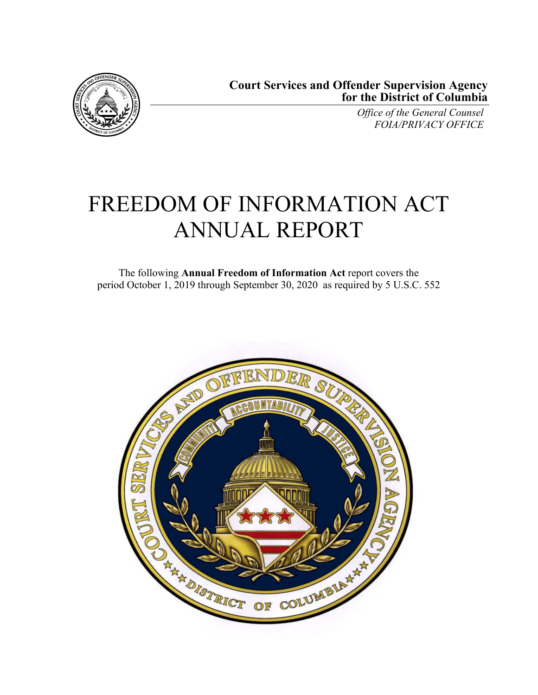

*Office of the General Counsel FOIA/PRIVACY OFFICE* 

# FREEDOM OF INFORMATION ACT ANNUAL REPORT

The following **Annual Freedom of Information Act** report covers the period October 1, 2019 through September 30, 2020 as required by 5 U.S.C. 552

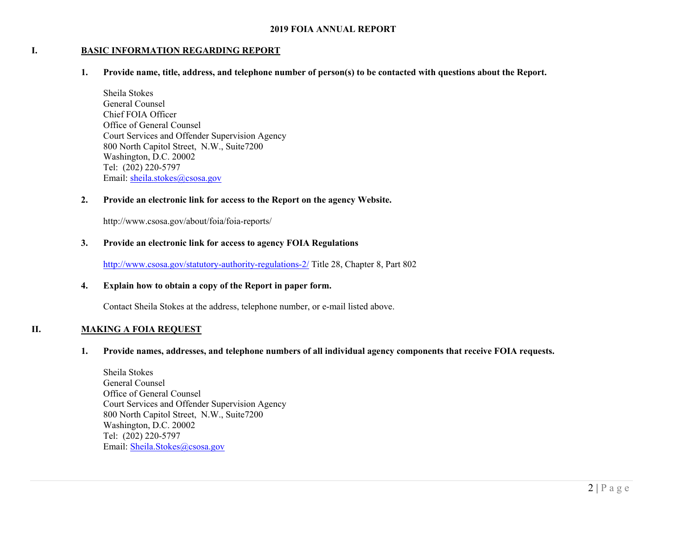#### **I.BASIC INFORMATION REGARDING REPORT**

**1. Provide name, title, address, and telephone number of person(s) to be contacted with questions about the Report.** 

Sheila Stokes General Counsel Chief FOIA Officer Office of General Counsel Court Services and Offender Supervision Agency 800 North Capitol Street, N.W., Suite7200 Washington, D.C. 20002 Tel: (202) 220-5797 Email: sheila.stokes@csosa.gov

#### **2. Provide an electronic link for access to the Report on the agency Website.**

http://www.csosa.gov/about/foia/foia-reports/

#### **3. Provide an electronic link for access to agency FOIA Regulations**

http://www.csosa.gov/statutory-authority-regulations-2/ Title 28, Chapter 8, Part 802

#### **4. Explain how to obtain a copy of the Report in paper form.**

Contact Sheila Stokes at the address, telephone number, or e-mail listed above.

#### **II.MAKING A FOIA REQUEST**

#### **1. Provide names, addresses, and telephone numbers of all individual agency components that receive FOIA requests.**

Sheila Stokes General Counsel Office of General Counsel Court Services and Offender Supervision Agency 800 North Capitol Street, N.W., Suite7200 Washington, D.C. 20002 Tel: (202) 220-5797 Email: Sheila.Stokes@csosa.gov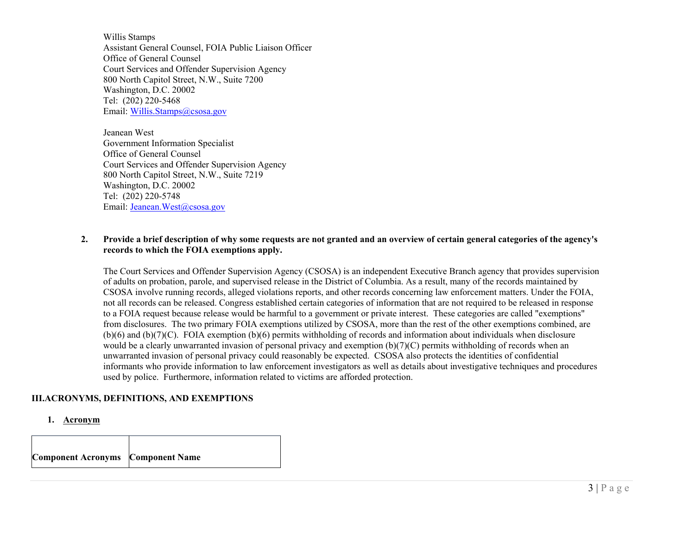Willis Stamps Assistant General Counsel, FOIA Public Liaison Officer Office of General Counsel Court Services and Offender Supervision Agency 800 North Capitol Street, N.W., Suite 7200 Washington, D.C. 20002 Tel: (202) 220-5468 Email: Willis.Stamps@csosa.gov

Jeanean West Government Information Specialist Office of General Counsel Court Services and Offender Supervision Agency 800 North Capitol Street, N.W., Suite 7219 Washington, D.C. 20002 Tel: (202) 220-5748 Email: Jeanean.West@csosa.gov

### **2. Provide a brief description of why some requests are not granted and an overview of certain general categories of the agency's records to which the FOIA exemptions apply.**

The Court Services and Offender Supervision Agency (CSOSA) is an independent Executive Branch agency that provides supervision of adults on probation, parole, and supervised release in the District of Columbia. As a result, many of the records maintained by CSOSA involve running records, alleged violations reports, and other records concerning law enforcement matters. Under the FOIA, not all records can be released. Congress established certain categories of information that are not required to be released in response to a FOIA request because release would be harmful to a government or private interest. These categories are called "exemptions" from disclosures. The two primary FOIA exemptions utilized by CSOSA, more than the rest of the other exemptions combined, are (b)(6) and (b)(7)(C). FOIA exemption (b)(6) permits withholding of records and information about individuals when disclosure would be a clearly unwarranted invasion of personal privacy and exemption (b)(7)(C) permits withholding of records when an unwarranted invasion of personal privacy could reasonably be expected. CSOSA also protects the identities of confidential informants who provide information to law enforcement investigators as well as details about investigative techniques and procedures used by police. Furthermore, information related to victims are afforded protection.

## **III.ACRONYMS, DEFINITIONS, AND EXEMPTIONS**

**1. Acronym** 

| <b>Component Acronyms</b> Component Name |  |  |
|------------------------------------------|--|--|
|------------------------------------------|--|--|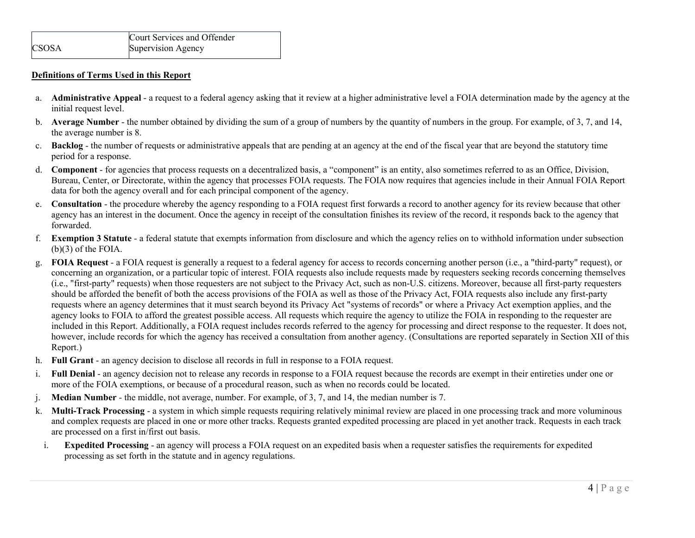#### **Definitions of Terms Used in this Report**

- a. **Administrative Appeal** a request to a federal agency asking that it review at a higher administrative level a FOIA determination made by the agency at the initial request level.
- b. **Average Number** the number obtained by dividing the sum of a group of numbers by the quantity of numbers in the group. For example, of 3, 7, and 14, the average number is 8.
- c. **Backlog** the number of requests or administrative appeals that are pending at an agency at the end of the fiscal year that are beyond the statutory time period for a response.
- d. **Component** for agencies that process requests on a decentralized basis, a "component" is an entity, also sometimes referred to as an Office, Division, Bureau, Center, or Directorate, within the agency that processes FOIA requests. The FOIA now requires that agencies include in their Annual FOIA Report data for both the agency overall and for each principal component of the agency.
- e. **Consultation** the procedure whereby the agency responding to a FOIA request first forwards a record to another agency for its review because that other agency has an interest in the document. Once the agency in receipt of the consultation finishes its review of the record, it responds back to the agency that forwarded.
- f. **Exemption 3 Statute** a federal statute that exempts information from disclosure and which the agency relies on to withhold information under subsection (b)(3) of the FOIA.
- g. **FOIA Request** a FOIA request is generally a request to a federal agency for access to records concerning another person (i.e., a "third-party" request), or concerning an organization, or a particular topic of interest. FOIA requests also include requests made by requesters seeking records concerning themselves (i.e., "first-party" requests) when those requesters are not subject to the Privacy Act, such as non-U.S. citizens. Moreover, because all first-party requesters should be afforded the benefit of both the access provisions of the FOIA as well as those of the Privacy Act, FOIA requests also include any first-party requests where an agency determines that it must search beyond its Privacy Act "systems of records" or where a Privacy Act exemption applies, and the agency looks to FOIA to afford the greatest possible access. All requests which require the agency to utilize the FOIA in responding to the requester are included in this Report. Additionally, a FOIA request includes records referred to the agency for processing and direct response to the requester. It does not, however, include records for which the agency has received a consultation from another agency. (Consultations are reported separately in Section XII of this Report.)
- h. **Full Grant** an agency decision to disclose all records in full in response to a FOIA request.
- i. **Full Denial** - an agency decision not to release any records in response to a FOIA request because the records are exempt in their entireties under one or more of the FOIA exemptions, or because of a procedural reason, such as when no records could be located.
- j. **Median Number** the middle, not average, number. For example, of 3, 7, and 14, the median number is 7.
- k. **Multi-Track Processing** a system in which simple requests requiring relatively minimal review are placed in one processing track and more voluminous and complex requests are placed in one or more other tracks. Requests granted expedited processing are placed in yet another track. Requests in each track are processed on a first in/first out basis.
- i. **Expedited Processing** - an agency will process a FOIA request on an expedited basis when a requester satisfies the requirements for expedited processing as set forth in the statute and in agency regulations.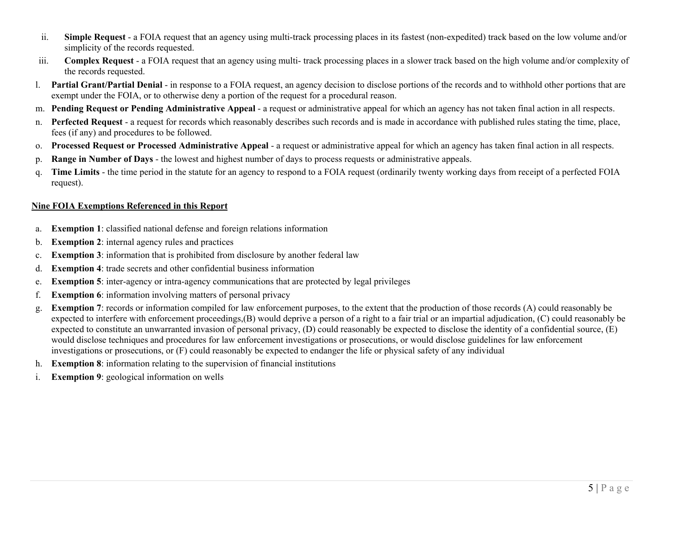- ii. **Simple Request** - a FOIA request that an agency using multi-track processing places in its fastest (non-expedited) track based on the low volume and/or simplicity of the records requested.
- iii. **Complex Request** - a FOIA request that an agency using multi- track processing places in a slower track based on the high volume and/or complexity of the records requested.
- l. **Partial Grant/Partial Denial** in response to a FOIA request, an agency decision to disclose portions of the records and to withhold other portions that are exempt under the FOIA, or to otherwise deny a portion of the request for a procedural reason.
- m. **Pending Request or Pending Administrative Appeal** a request or administrative appeal for which an agency has not taken final action in all respects.
- n. **Perfected Request** a request for records which reasonably describes such records and is made in accordance with published rules stating the time, place, fees (if any) and procedures to be followed.
- o. **Processed Request or Processed Administrative Appeal** a request or administrative appeal for which an agency has taken final action in all respects.
- p. **Range in Number of Days** the lowest and highest number of days to process requests or administrative appeals.
- q. **Time Limits** the time period in the statute for an agency to respond to a FOIA request (ordinarily twenty working days from receipt of a perfected FOIA request).

## **Nine FOIA Exemptions Referenced in this Report**

- a.**Exemption 1**: classified national defense and foreign relations information
- b.**Exemption 2**: internal agency rules and practices
- c.**Exemption 3**: information that is prohibited from disclosure by another federal law
- d.**Exemption 4**: trade secrets and other confidential business information
- e.**Exemption 5**: inter-agency or intra-agency communications that are protected by legal privileges
- f.**Exemption 6**: information involving matters of personal privacy
- g. **Exemption 7**: records or information compiled for law enforcement purposes, to the extent that the production of those records (A) could reasonably be expected to interfere with enforcement proceedings,(B) would deprive a person of a right to a fair trial or an impartial adjudication, (C) could reasonably be expected to constitute an unwarranted invasion of personal privacy, (D) could reasonably be expected to disclose the identity of a confidential source, (E) would disclose techniques and procedures for law enforcement investigations or prosecutions, or would disclose guidelines for law enforcement investigations or prosecutions, or (F) could reasonably be expected to endanger the life or physical safety of any individual
- h. **Exemption 8**: information relating to the supervision of financial institutions
- i.**Exemption 9**: geological information on wells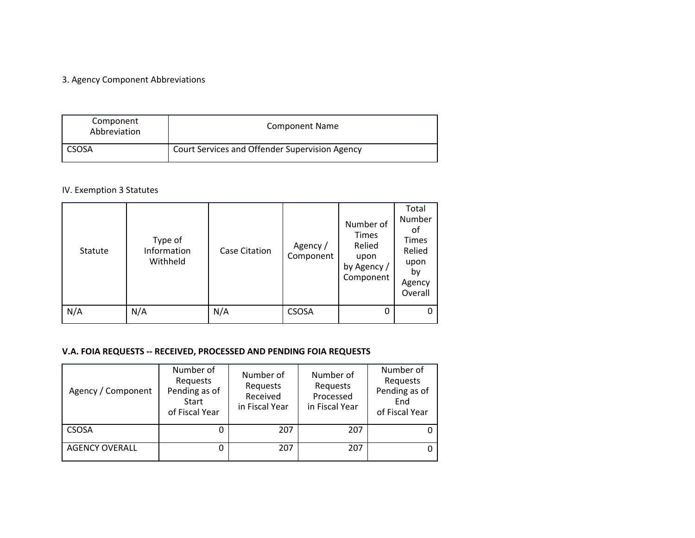#### 3. Agency Component Abbreviations

| Component<br>Abbreviation | <b>Component Name</b>                          |
|---------------------------|------------------------------------------------|
| <b>CSOSA</b>              | Court Services and Offender Supervision Agency |

#### IV. Exemption 3 Statutes

| Statute | Type of<br>Information<br>Withheld | Case Citation | Agency /<br>Component | Number of<br>Times<br>Relied<br>upon<br>by Agency /<br>Component | Total<br>Number<br>оt<br>Times<br>Relied<br>upon<br>bγ<br>Agency<br>Overall |
|---------|------------------------------------|---------------|-----------------------|------------------------------------------------------------------|-----------------------------------------------------------------------------|
| N/A     | N/A                                | N/A           | <b>CSOSA</b>          | 0                                                                | 0                                                                           |

#### **V.A. FOIA REQUESTS ‐‐ RECEIVED, PROCESSED AND PENDING FOIA REQUESTS**

| Agency / Component    | Number of<br>Requests<br>Pending as of<br>Start<br>of Fiscal Year | Number of<br>Requests<br>Received<br>in Fiscal Year | Number of<br>Requests<br>Processed<br>in Fiscal Year | Number of<br>Requests<br>Pending as of<br>End<br>of Fiscal Year |
|-----------------------|-------------------------------------------------------------------|-----------------------------------------------------|------------------------------------------------------|-----------------------------------------------------------------|
| <b>CSOSA</b>          |                                                                   | 207                                                 | 207                                                  |                                                                 |
| <b>AGENCY OVERALL</b> |                                                                   | 207                                                 | 207                                                  |                                                                 |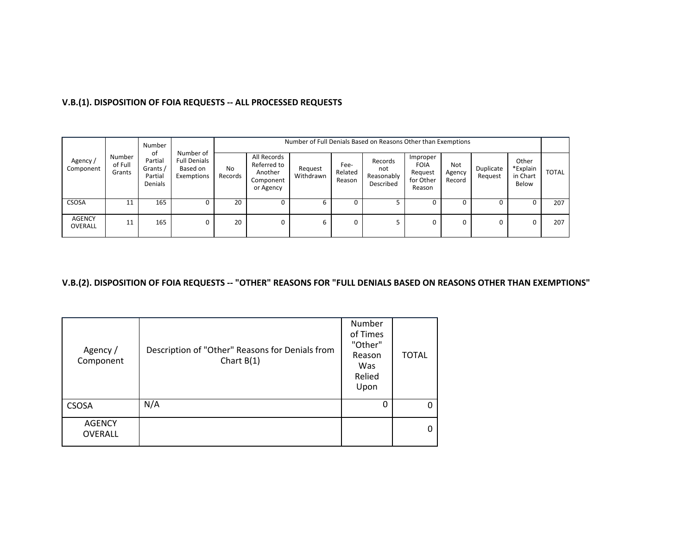# **V.B.(1). DISPOSITION OF FOIA REQUESTS ‐‐ ALL PROCESSED REQUESTS**

|                      |                             | Number                                          |                                                            |               | Number of Full Denials Based on Reasons Other than Exemptions   |                      |                           |                                           |                                                           |                         |                      |                                        |              |  |
|----------------------|-----------------------------|-------------------------------------------------|------------------------------------------------------------|---------------|-----------------------------------------------------------------|----------------------|---------------------------|-------------------------------------------|-----------------------------------------------------------|-------------------------|----------------------|----------------------------------------|--------------|--|
| Agency/<br>Component | Number<br>of Full<br>Grants | of<br>Partial<br>Grants /<br>Partial<br>Denials | Number of<br><b>Full Denials</b><br>Based on<br>Exemptions | No<br>Records | All Records<br>Referred to<br>Another<br>Component<br>or Agency | Request<br>Withdrawn | Fee-<br>Related<br>Reason | Records<br>not<br>Reasonably<br>Described | Improper<br><b>FOIA</b><br>Request<br>for Other<br>Reason | Not<br>Agency<br>Record | Duplicate<br>Request | Other<br>*Explain<br>in Chart<br>Below | <b>TOTAL</b> |  |
| CSOSA                | 11                          | 165                                             |                                                            | 20            | 0                                                               |                      |                           |                                           |                                                           |                         |                      |                                        | 207          |  |
| AGENCY<br>OVERALL    | 11                          | 165                                             |                                                            | 20            | 0                                                               |                      | 0                         |                                           |                                                           |                         | 0                    | 0                                      | 207          |  |

# V.B.(2). DISPOSITION OF FOIA REQUESTS -- "OTHER" REASONS FOR "FULL DENIALS BASED ON REASONS OTHER THAN EXEMPTIONS"

| Agency /<br>Component           | Description of "Other" Reasons for Denials from<br>Chart $B(1)$ | Number<br>of Times<br>"Other"<br>Reason<br>Was<br>Relied<br>Upon | <b>TOTAL</b> |
|---------------------------------|-----------------------------------------------------------------|------------------------------------------------------------------|--------------|
| <b>CSOSA</b>                    | N/A                                                             | 0                                                                | 0            |
| <b>AGENCY</b><br><b>OVERALL</b> |                                                                 |                                                                  | $\mathbf{0}$ |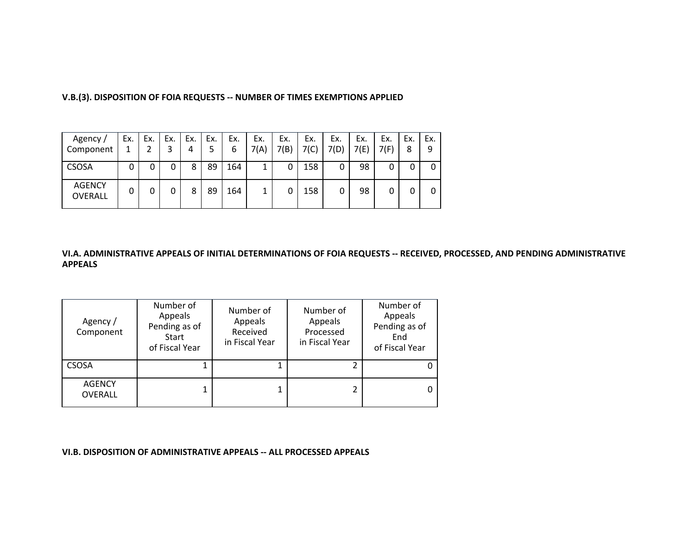| Agency /<br>Component    | Ex. | Ex. | Ex. | Ex.<br>4 | Ex.<br>5 | Ex.<br>6 | Ex.<br>7(A) | Ex.<br>7(B) | Ex.<br>7(C) | Ex.<br>7(D) | Ex.<br>7(E) | Ex.<br>7(F) | Ex.<br>8 | Ex.<br>9 |
|--------------------------|-----|-----|-----|----------|----------|----------|-------------|-------------|-------------|-------------|-------------|-------------|----------|----------|
| <b>CSOSA</b>             | 0   | 0   | 0   | 8        | 89       | 164      | 1           |             | 158         |             | 98          |             |          |          |
| <b>AGENCY</b><br>OVERALL | 0   | 0   | 0   | 8        | 89       | 164      | 1           |             | 158         |             | 98          |             |          |          |

**V.B.(3). DISPOSITION OF FOIA REQUESTS ‐‐ NUMBER OF TIMES EXEMPTIONS APPLIED**

#### VI.A. ADMINISTRATIVE APPEALS OF INITIAL DETERMINATIONS OF FOIA REQUESTS -- RECEIVED, PROCESSED, AND PENDING ADMINISTRATIVE **APPEALS**

| Agency /<br>Component           | Number of<br>Appeals<br>Pending as of<br>Start<br>of Fiscal Year | Number of<br>Appeals<br>Received<br>in Fiscal Year | Number of<br>Appeals<br>Processed<br>in Fiscal Year | Number of<br>Appeals<br>Pending as of<br>End<br>of Fiscal Year |
|---------------------------------|------------------------------------------------------------------|----------------------------------------------------|-----------------------------------------------------|----------------------------------------------------------------|
| <b>CSOSA</b>                    |                                                                  |                                                    |                                                     |                                                                |
| <b>AGENCY</b><br><b>OVERALL</b> |                                                                  |                                                    |                                                     | 0                                                              |

**VI.B. DISPOSITION OF ADMINISTRATIVE APPEALS ‐‐ ALL PROCESSED APPEALS**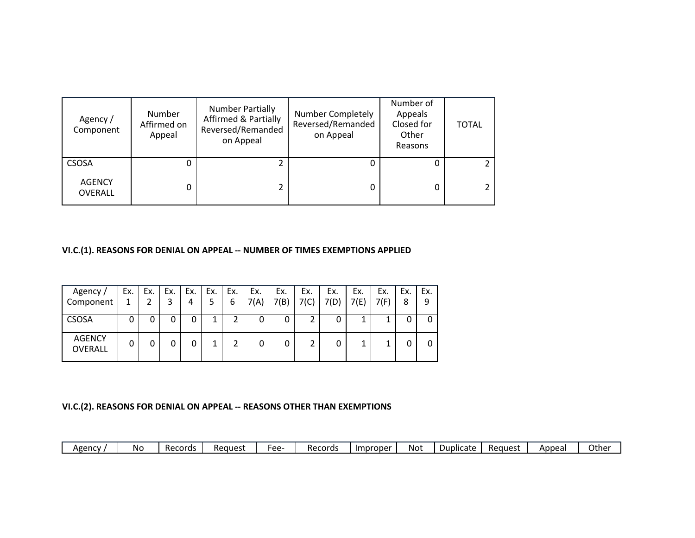| Agency /<br>Component    | Number<br>Affirmed on<br>Appeal | <b>Number Partially</b><br><b>Affirmed &amp; Partially</b><br>Reversed/Remanded<br>on Appeal | Number Completely<br>Reversed/Remanded<br>on Appeal | Number of<br>Appeals<br>Closed for<br>Other<br>Reasons | <b>TOTAL</b> |
|--------------------------|---------------------------------|----------------------------------------------------------------------------------------------|-----------------------------------------------------|--------------------------------------------------------|--------------|
| <b>CSOSA</b>             | 0                               |                                                                                              |                                                     |                                                        |              |
| <b>AGENCY</b><br>OVERALL | 0                               |                                                                                              |                                                     |                                                        |              |

**VI.C.(1). REASONS FOR DENIAL ON APPEAL ‐‐ NUMBER OF TIMES EXEMPTIONS APPLIED**

| Agency /<br>Component    | Ex. | Ex. | Ex. | Ex.<br>4 | Ex.<br>5 | Ex.<br>6 | Ex.<br>7(A) | Ex.<br>7(B) | Ex.<br>7(C) | Ex.<br>7(D) | Ex.<br>7(E) | Ex.<br>7(F) | Ex.<br>8 | Ex.<br>9 |
|--------------------------|-----|-----|-----|----------|----------|----------|-------------|-------------|-------------|-------------|-------------|-------------|----------|----------|
| <b>CSOSA</b>             | 0   | 0   | 0   | 0        |          |          | 0           | 0           | 2           | 0           | 1           |             |          |          |
| <b>AGENCY</b><br>OVERALL | 0   | 0   | 0   | 0        |          |          | 0           | 0           | 2           |             | 4           |             |          |          |

# **VI.C.(2). REASONS FOR DENIAL ON APPEAL ‐‐ REASONS OTHER THAN EXEMPTIONS**

| Agencv | Νo | Records | Reauest | ۵۵-<br>ີ | Records | Improper | Not | Duplicate | Reauest | Appeal | Othe |
|--------|----|---------|---------|----------|---------|----------|-----|-----------|---------|--------|------|
|--------|----|---------|---------|----------|---------|----------|-----|-----------|---------|--------|------|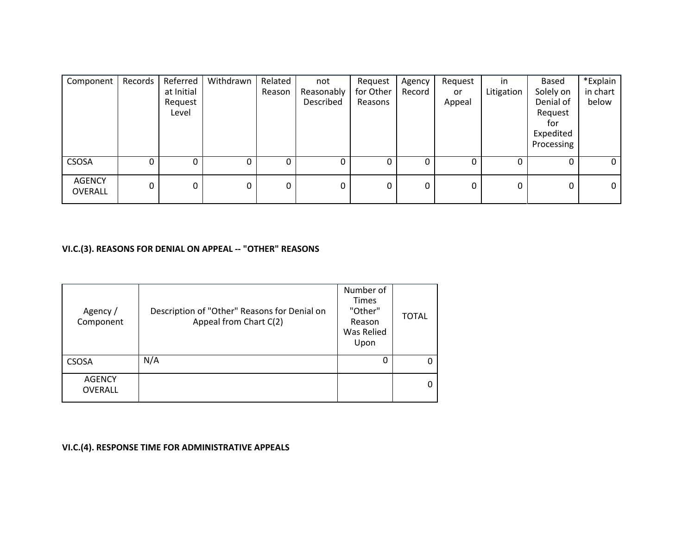| Component                | Records | Referred   | Withdrawn | Related | not        | Request   | Agency | Request | in.        | Based      | *Explain       |
|--------------------------|---------|------------|-----------|---------|------------|-----------|--------|---------|------------|------------|----------------|
|                          |         | at Initial |           | Reason  | Reasonably | for Other | Record | or      | Litigation | Solely on  | in chart       |
|                          |         | Request    |           |         | Described  | Reasons   |        | Appeal  |            | Denial of  | below          |
|                          |         | Level      |           |         |            |           |        |         |            | Request    |                |
|                          |         |            |           |         |            |           |        |         |            | for        |                |
|                          |         |            |           |         |            |           |        |         |            | Expedited  |                |
|                          |         |            |           |         |            |           |        |         |            | Processing |                |
| <b>CSOSA</b>             | 0       |            | 0         | 0       | 0          |           |        | 0       |            | 0          | $\mathbf{0}$   |
| <b>AGENCY</b><br>OVERALL | 0       | 0          | 0         | 0       | 0          | 0         | 0      | 0       | 0          | 0          | $\overline{0}$ |

# **VI.C.(3). REASONS FOR DENIAL ON APPEAL ‐‐ "OTHER" REASONS**

| Agency /<br>Component           | Description of "Other" Reasons for Denial on<br>Appeal from Chart C(2) | Number of<br><b>Times</b><br>"Other"<br>Reason<br>Was Relied<br>Upon | <b>TOTAL</b> |
|---------------------------------|------------------------------------------------------------------------|----------------------------------------------------------------------|--------------|
| <b>CSOSA</b>                    | N/A                                                                    |                                                                      | 0            |
| <b>AGENCY</b><br><b>OVERALL</b> |                                                                        |                                                                      | 0            |

**VI.C.(4). RESPONSE TIME FOR ADMINISTRATIVE APPEALS**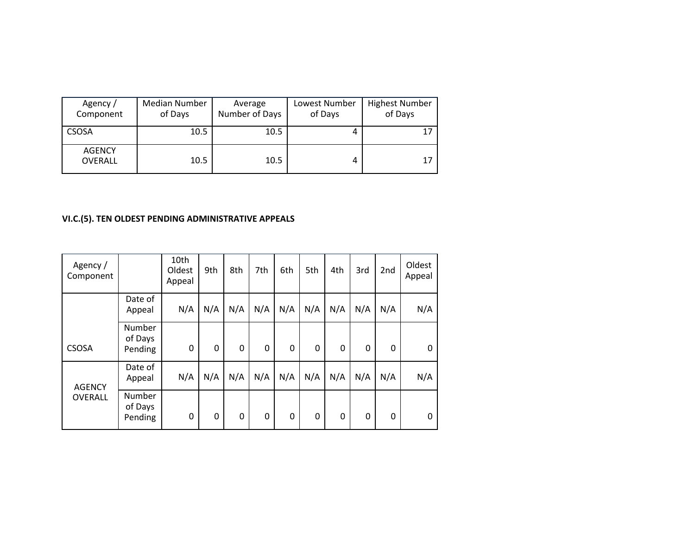| Agency /<br>Component           | Median Number<br>of Days | Average<br>Number of Days | Lowest Number<br>of Days | <b>Highest Number</b><br>of Days |
|---------------------------------|--------------------------|---------------------------|--------------------------|----------------------------------|
| CSOSA                           | 10.5                     | 10.5                      | 4                        | 17                               |
| <b>AGENCY</b><br><b>OVERALL</b> | 10.5                     | 10.5                      | 4                        | 17                               |

# **VI.C.(5). TEN OLDEST PENDING ADMINISTRATIVE APPEALS**

| Agency /<br>Component |                              | 10th<br>Oldest<br>Appeal | 9th | 8th          | 7th          | 6th | 5th         | 4th | 3rd          | 2 <sub>nd</sub> | Oldest<br>Appeal |
|-----------------------|------------------------------|--------------------------|-----|--------------|--------------|-----|-------------|-----|--------------|-----------------|------------------|
|                       | Date of<br>Appeal            | N/A                      | N/A | N/A          | N/A          | N/A | N/A         | N/A | N/A          | N/A             | N/A              |
| <b>CSOSA</b>          | Number<br>of Days<br>Pending | 0                        | 0   | $\mathbf{0}$ | $\mathbf{0}$ | 0   | $\mathbf 0$ | 0   | $\mathbf{0}$ | 0               | $\Omega$         |
| <b>AGENCY</b>         | Date of<br>Appeal            | N/A                      | N/A | N/A          | N/A          | N/A | N/A         | N/A | N/A          | N/A             | N/A              |
| <b>OVERALL</b>        | Number<br>of Days<br>Pending | 0                        | 0   | 0            | $\mathbf{0}$ | 0   | $\mathbf 0$ | 0   | 0            | 0               | 0                |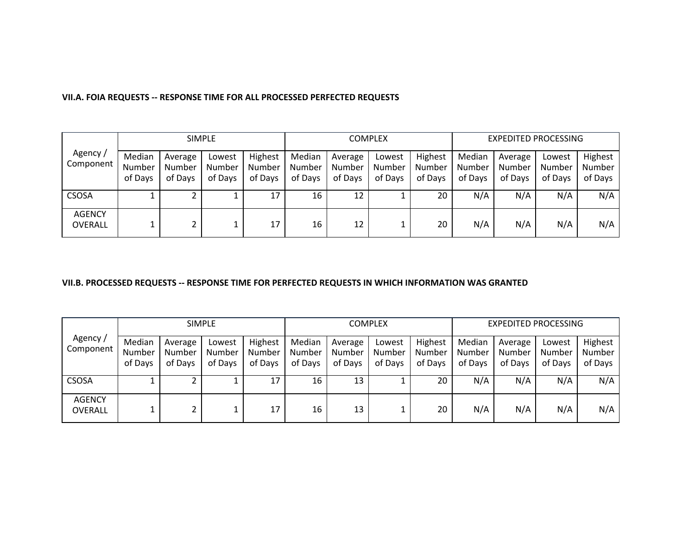|                          |                             |                              | <b>SIMPLE</b>               |                              |                             |                              | COMPLEX                     |                              |                             | <b>EXPEDITED PROCESSING</b>  |                             |                              |
|--------------------------|-----------------------------|------------------------------|-----------------------------|------------------------------|-----------------------------|------------------------------|-----------------------------|------------------------------|-----------------------------|------------------------------|-----------------------------|------------------------------|
| Agency /<br>Component    | Median<br>Number<br>of Days | Average<br>Number<br>of Days | Lowest<br>Number<br>of Days | Highest<br>Number<br>of Days | Median<br>Number<br>of Days | Average<br>Number<br>of Days | Lowest<br>Number<br>of Days | Highest<br>Number<br>of Days | Median<br>Number<br>of Days | Average<br>Number<br>of Days | Lowest<br>Number<br>of Days | Highest<br>Number<br>of Days |
| <b>CSOSA</b>             |                             |                              |                             |                              | 16                          | 12                           |                             | 20                           | N/A                         | N/A                          | N/A                         | N/A                          |
| <b>AGENCY</b><br>OVERALL |                             |                              |                             | 17                           | 16                          | 12                           |                             | 20                           | N/A                         | N/A                          | N/A                         | N/A                          |

#### **VII.A. FOIA REQUESTS ‐‐ RESPONSE TIME FOR ALL PROCESSED PERFECTED REQUESTS**

#### **VII.B. PROCESSED REQUESTS ‐‐ RESPONSE TIME FOR PERFECTED REQUESTS IN WHICH INFORMATION WAS GRANTED**

|                                 |                             | <b>SIMPLE</b>                |                             |                              |                             |                              | <b>COMPLEX</b>              |                              | EXPEDITED PROCESSING        |                              |                             |                              |
|---------------------------------|-----------------------------|------------------------------|-----------------------------|------------------------------|-----------------------------|------------------------------|-----------------------------|------------------------------|-----------------------------|------------------------------|-----------------------------|------------------------------|
| Agency/<br>Component            | Median<br>Number<br>of Days | Average<br>Number<br>of Days | Lowest<br>Number<br>of Days | Highest<br>Number<br>of Days | Median<br>Number<br>of Days | Average<br>Number<br>of Days | Lowest<br>Number<br>of Days | Highest<br>Number<br>of Days | Median<br>Number<br>of Days | Average<br>Number<br>of Days | Lowest<br>Number<br>of Days | Highest<br>Number<br>of Days |
| <b>CSOSA</b>                    |                             |                              |                             | 17                           | 16                          | 13                           |                             | 20                           | N/A                         | N/A                          | N/A                         | N/A                          |
| <b>AGENCY</b><br><b>OVERALL</b> |                             |                              |                             | 17                           | 16                          | 13                           |                             | 20                           | N/A                         | N/A                          | N/A                         | N/A                          |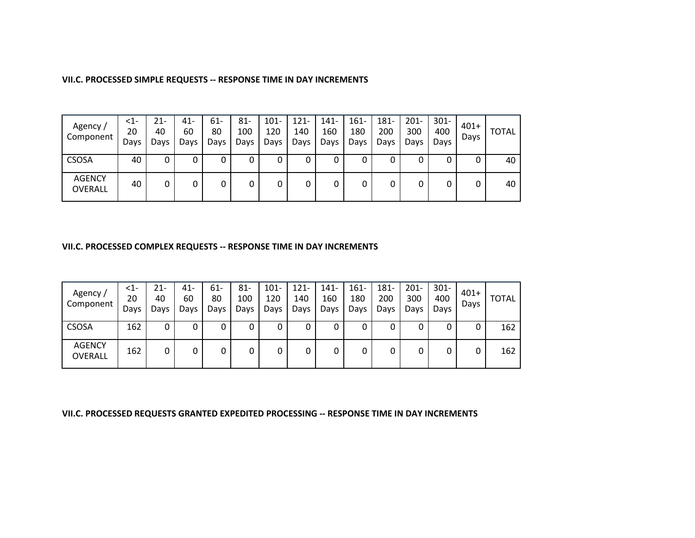#### **VII.C. PROCESSED SIMPLE REQUESTS ‐‐ RESPONSE TIME IN DAY INCREMENTS**

| Agency /<br>Component           | $\leq$ 1-<br>20<br>Days | 21-<br>40<br>Days | 41-<br>60<br>Days | $61 -$<br>80<br>Days | $81 -$<br>100<br>Days | $101 -$<br>120<br>Days | $121 -$<br>140<br>Days | $141 -$<br>160<br>Days | $161 -$<br>180<br>Days | 181-<br>200<br>Days | $201 -$<br>300<br>Days | $301 -$<br>400<br>Days | $401+$<br>Days | <b>TOTAL</b> |
|---------------------------------|-------------------------|-------------------|-------------------|----------------------|-----------------------|------------------------|------------------------|------------------------|------------------------|---------------------|------------------------|------------------------|----------------|--------------|
| <b>CSOSA</b>                    | 40                      |                   | O                 | 0                    |                       |                        | 0                      |                        | υ                      | 0                   | U                      |                        |                | 40           |
| <b>AGENCY</b><br><b>OVERALL</b> | 40                      |                   | 0                 | 0                    |                       |                        | 0                      |                        | 0                      | 0                   | 0                      |                        | 0              | 40           |

#### **VII.C. PROCESSED COMPLEX REQUESTS ‐‐ RESPONSE TIME IN DAY INCREMENTS**

| Agency /<br>Component           | $<$ 1-<br>20<br>Days | 21-<br>40<br>Days | $41 -$<br>60<br>Days | 61-<br>80<br>Days | $81 -$<br>100<br>Days | $101 -$<br>120<br>Days | $121 -$<br>140<br>Days | $141 -$<br>160<br>Days | $161 -$<br>180<br>Days | 181-<br>200<br>Days | $201 -$<br>300<br>Days | $301 -$<br>400<br>Days | $401+$<br>Days | <b>TOTAL</b> |
|---------------------------------|----------------------|-------------------|----------------------|-------------------|-----------------------|------------------------|------------------------|------------------------|------------------------|---------------------|------------------------|------------------------|----------------|--------------|
| <b>CSOSA</b>                    | 162                  | 0                 | 0                    | 0                 | 0                     | 0                      | 0                      |                        |                        | 0                   | 0                      | 0                      | 0              | 162          |
| <b>AGENCY</b><br><b>OVERALL</b> | 162                  | 0                 | 0                    | 0                 |                       | 0                      | 0                      |                        |                        | 0                   | 0                      | 0                      | 0              | 162          |

**VII.C. PROCESSED REQUESTS GRANTED EXPEDITED PROCESSING ‐‐ RESPONSE TIME IN DAY INCREMENTS**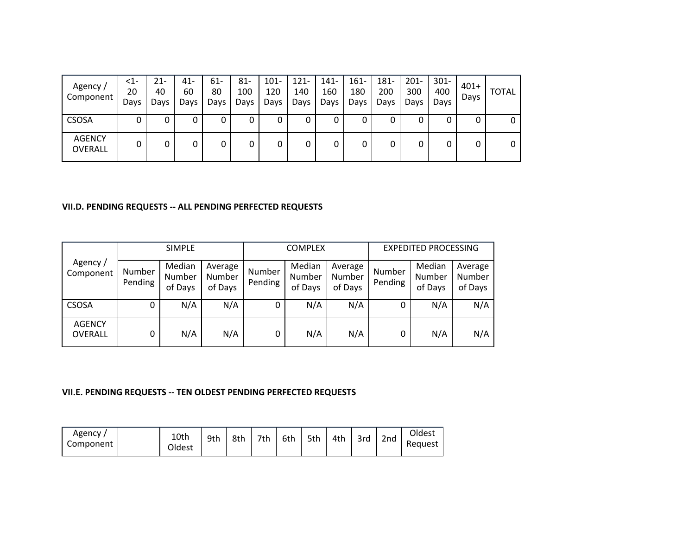| Agency /<br>Component    | $<$ 1-<br>20<br>Days | 21-<br>40<br>Days | $41 -$<br>60<br>Days | 61-<br>80<br>Days | 81-<br>100<br>Days | $101 -$<br>120<br>Days | $121 -$<br>140<br>Days | 141-<br>160<br>Days | $161 -$<br>180<br>Days | $181 -$<br>200<br>Days | $201 -$<br>300<br>Days | $301 -$<br>400<br>Days | $401+$<br>Days | <b>TOTAL</b> |
|--------------------------|----------------------|-------------------|----------------------|-------------------|--------------------|------------------------|------------------------|---------------------|------------------------|------------------------|------------------------|------------------------|----------------|--------------|
| <b>CSOSA</b>             | υ                    |                   | 0                    | 0                 | 0                  |                        | 0                      |                     | 0                      | 0                      |                        |                        | 0              | 0            |
| <b>AGENCY</b><br>OVERALL |                      | 0                 | 0                    | 0                 |                    | 0                      | 0                      |                     | 0                      | 0                      |                        | 0                      | 0              | 0            |

#### **VII.D. PENDING REQUESTS ‐‐ ALL PENDING PERFECTED REQUESTS**

|                          |                   | <b>SIMPLE</b>               |                              |                   | <b>COMPLEX</b>              |                              |                   | <b>EXPEDITED PROCESSING</b> |                              |
|--------------------------|-------------------|-----------------------------|------------------------------|-------------------|-----------------------------|------------------------------|-------------------|-----------------------------|------------------------------|
| Agency /<br>Component    | Number<br>Pending | Median<br>Number<br>of Days | Average<br>Number<br>of Days | Number<br>Pending | Median<br>Number<br>of Days | Average<br>Number<br>of Days | Number<br>Pending | Median<br>Number<br>of Days | Average<br>Number<br>of Days |
| <b>CSOSA</b>             |                   | N/A                         | N/A                          | 0                 | N/A                         | N/A                          | 0                 | N/A                         | N/A                          |
| <b>AGENCY</b><br>OVERALL | 0                 | N/A                         | N/A                          | 0                 | N/A                         | N/A                          | 0                 | N/A                         | N/A                          |

#### **VII.E. PENDING REQUESTS ‐‐ TEN OLDEST PENDING PERFECTED REQUESTS**

| Agency<br>Component | 10th<br>Oldest | 9th | 8th | 7th | 6th | 5th | 4th | 3rd | 2 <sub>nd</sub> | Oldest<br>Request |
|---------------------|----------------|-----|-----|-----|-----|-----|-----|-----|-----------------|-------------------|
|---------------------|----------------|-----|-----|-----|-----|-----|-----|-----|-----------------|-------------------|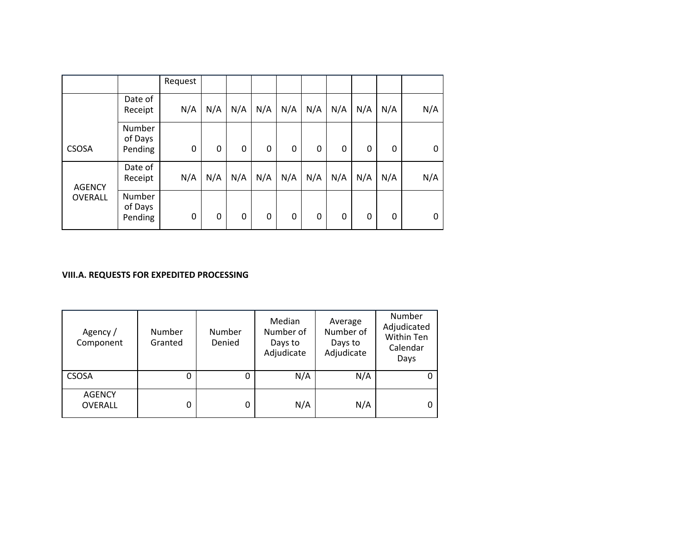|               |                              | Request |     |     |     |     |     |     |     |     |     |
|---------------|------------------------------|---------|-----|-----|-----|-----|-----|-----|-----|-----|-----|
|               | Date of<br>Receipt           | N/A     | N/A | N/A | N/A | N/A | N/A | N/A | N/A | N/A | N/A |
| <b>CSOSA</b>  | Number<br>of Days<br>Pending | 0       | 0   | 0   | 0   | 0   | 0   | 0   | 0   | 0   | 0   |
| <b>AGENCY</b> | Date of<br>Receipt           | N/A     | N/A | N/A | N/A | N/A | N/A | N/A | N/A | N/A | N/A |
| OVERALL       | Number<br>of Days<br>Pending | 0       | 0   | 0   | 0   | 0   | 0   | 0   | 0   | 0   | 0   |

#### **VIII.A. REQUESTS FOR EXPEDITED PROCESSING**

| Agency /<br>Component           | Number<br>Granted | Number<br>Denied | Median<br>Number of<br>Days to<br>Adjudicate | Average<br>Number of<br>Days to<br>Adjudicate | Number<br>Adjudicated<br>Within Ten<br>Calendar<br>Days |
|---------------------------------|-------------------|------------------|----------------------------------------------|-----------------------------------------------|---------------------------------------------------------|
| <b>CSOSA</b>                    |                   | 0                | N/A                                          | N/A                                           |                                                         |
| <b>AGENCY</b><br><b>OVERALL</b> |                   |                  | N/A                                          | N/A                                           | 0                                                       |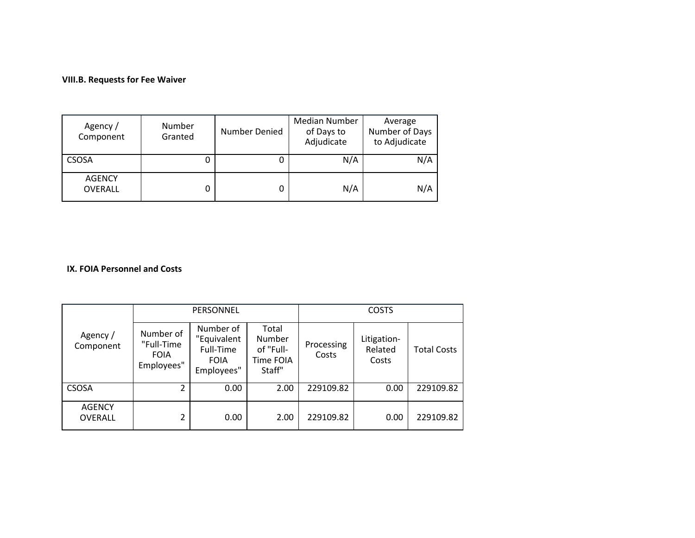#### **VIII.B. Requests for Fee Waiver**

| Agency /<br>Component           | Number<br>Granted | Number Denied | Median Number<br>of Days to<br>Adjudicate | Average<br>Number of Days<br>to Adjudicate |
|---------------------------------|-------------------|---------------|-------------------------------------------|--------------------------------------------|
| <b>CSOSA</b>                    |                   |               | N/A                                       | N/A                                        |
| <b>AGENCY</b><br><b>OVERALL</b> |                   |               | N/A                                       | N/A                                        |

#### **IX. FOIA Personnel and Costs**

| PERSONNEL                       |                                                      |                                                                    | <b>COSTS</b>                                        |                     |                                 |                    |
|---------------------------------|------------------------------------------------------|--------------------------------------------------------------------|-----------------------------------------------------|---------------------|---------------------------------|--------------------|
| Agency /<br>Component           | Number of<br>"Full-Time<br><b>FOIA</b><br>Employees" | Number of<br>"Equivalent<br>Full-Time<br><b>FOIA</b><br>Employees" | Total<br>Number<br>of "Full-<br>Time FOIA<br>Staff" | Processing<br>Costs | Litigation-<br>Related<br>Costs | <b>Total Costs</b> |
| <b>CSOSA</b>                    | 2                                                    | 0.00                                                               | 2.00                                                | 229109.82           | 0.00                            | 229109.82          |
| <b>AGENCY</b><br><b>OVERALL</b> | 2                                                    | 0.00                                                               | 2.00                                                | 229109.82           | 0.00                            | 229109.82          |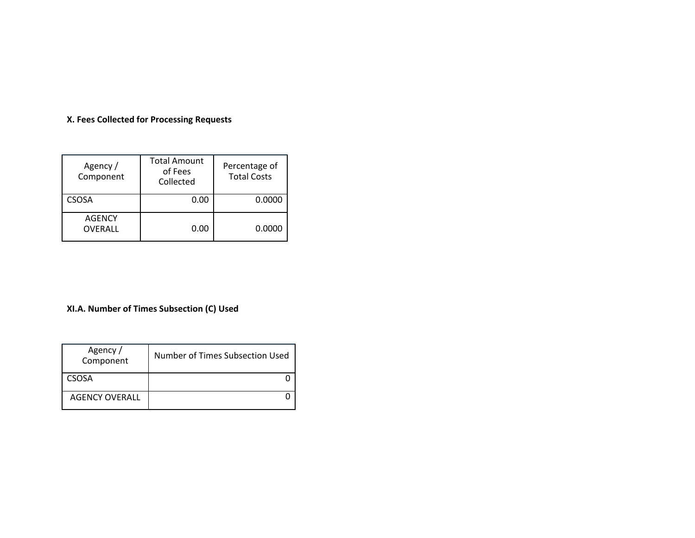#### **X. Fees Collected for Processing Requests**

| Agency /<br>Component    | <b>Total Amount</b><br>of Fees<br>Collected | Percentage of<br><b>Total Costs</b> |
|--------------------------|---------------------------------------------|-------------------------------------|
| CSOSA                    | 0.00                                        | 0.0000                              |
| <b>AGENCY</b><br>OVERALL | 0.00                                        | 0.0000                              |

#### **XI.A. Number of Times Subsection (C) Used**

| Agency /<br>Component | Number of Times Subsection Used |
|-----------------------|---------------------------------|
| CSOSA                 |                                 |
| <b>AGENCY OVERALL</b> |                                 |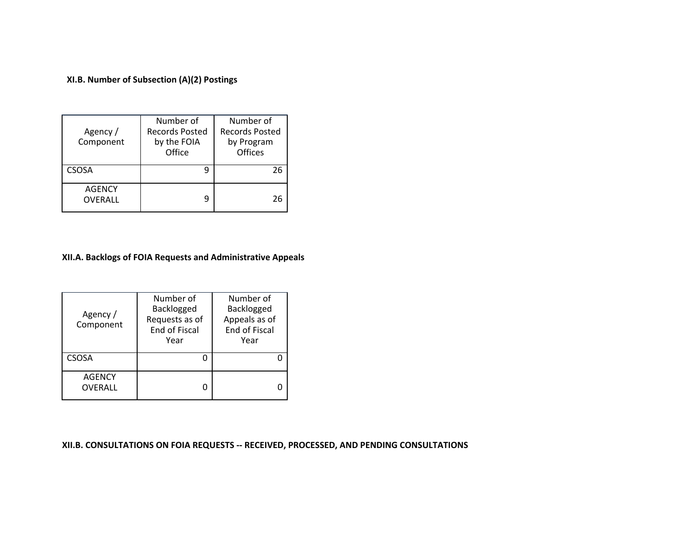#### **XI.B. Number of Subsection (A)(2) Postings**

| Agency /<br>Component    | Number of<br><b>Records Posted</b><br>by the FOIA<br>Office | Number of<br><b>Records Posted</b><br>by Program<br>Offices |  |
|--------------------------|-------------------------------------------------------------|-------------------------------------------------------------|--|
| <b>CSOSA</b>             | q                                                           | 26                                                          |  |
| <b>AGENCY</b><br>OVERALL | q                                                           | 26                                                          |  |

#### **XII.A. Backlogs of FOIA Requests and Administrative Appeals**

| Agency /<br>Component    | Number of<br>Backlogged<br>Requests as of<br>End of Fiscal<br>Year | Number of<br>Backlogged<br>Appeals as of<br><b>End of Fiscal</b><br>Year |
|--------------------------|--------------------------------------------------------------------|--------------------------------------------------------------------------|
| <b>CSOSA</b>             |                                                                    |                                                                          |
| <b>AGENCY</b><br>OVERALL |                                                                    |                                                                          |

#### **XII.B. CONSULTATIONS ON FOIA REQUESTS ‐‐ RECEIVED, PROCESSED, AND PENDING CONSULTATIONS**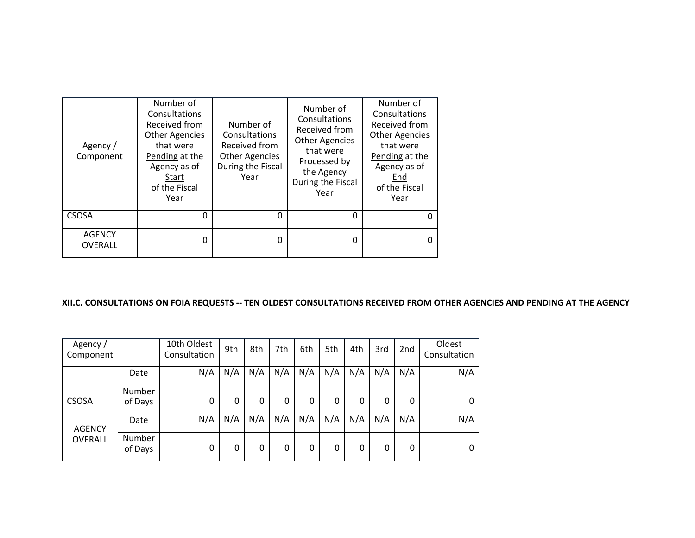| Agency /<br>Component    | Number of<br>Consultations<br>Received from<br><b>Other Agencies</b><br>that were<br>Pending at the<br>Agency as of<br>Start<br>of the Fiscal<br>Year | Number of<br>Consultations<br>Received from<br><b>Other Agencies</b><br>During the Fiscal<br>Year | Number of<br>Consultations<br>Received from<br><b>Other Agencies</b><br>that were<br>Processed by<br>the Agency<br>During the Fiscal<br>Year | Number of<br>Consultations<br>Received from<br><b>Other Agencies</b><br>that were<br>Pending at the<br>Agency as of<br>End<br>of the Fiscal<br>Year |
|--------------------------|-------------------------------------------------------------------------------------------------------------------------------------------------------|---------------------------------------------------------------------------------------------------|----------------------------------------------------------------------------------------------------------------------------------------------|-----------------------------------------------------------------------------------------------------------------------------------------------------|
| <b>CSOSA</b>             | $\Omega$                                                                                                                                              | 0                                                                                                 | 0                                                                                                                                            |                                                                                                                                                     |
| <b>AGENCY</b><br>OVERALL | O                                                                                                                                                     | O                                                                                                 | 0                                                                                                                                            |                                                                                                                                                     |

### XII.C. CONSULTATIONS ON FOIA REQUESTS -- TEN OLDEST CONSULTATIONS RECEIVED FROM OTHER AGENCIES AND PENDING AT THE AGENCY

| Agency/<br>Component |                   | 10th Oldest<br>Consultation | 9th | 8th | 7th | 6th | 5th | 4th | 3rd | 2 <sub>nd</sub> | Oldest<br>Consultation |
|----------------------|-------------------|-----------------------------|-----|-----|-----|-----|-----|-----|-----|-----------------|------------------------|
|                      | Date              | N/A                         | N/A | N/A | N/A | N/A | N/A | N/A | N/A | N/A             | N/A                    |
| <b>CSOSA</b>         | Number<br>of Days | 0                           | 0   | 0   | 0   | 0   | 0   | 0   | 0   | 0               | 0                      |
| <b>AGENCY</b>        | Date              | N/A                         | N/A | N/A | N/A | N/A | N/A | N/A | N/A | N/A             | N/A                    |
| <b>OVERALL</b>       | Number<br>of Days | 0                           | 0   | 0   | 0   | 0   | 0   | 0   | 0   | 0               | 0                      |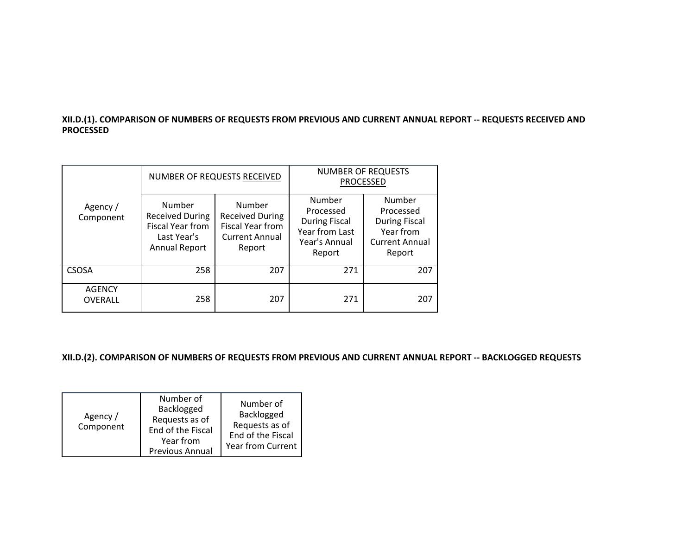## XII.D.(1). COMPARISON OF NUMBERS OF REQUESTS FROM PREVIOUS AND CURRENT ANNUAL REPORT -- REQUESTS RECEIVED AND **PROCESSED**

|                          |                                                                                             | NUMBER OF REQUESTS RECEIVED                                                                    | <b>NUMBER OF REQUESTS</b><br><b>PROCESSED</b>                                            |                                                                                             |  |
|--------------------------|---------------------------------------------------------------------------------------------|------------------------------------------------------------------------------------------------|------------------------------------------------------------------------------------------|---------------------------------------------------------------------------------------------|--|
| Agency /<br>Component    | Number<br><b>Received During</b><br><b>Fiscal Year from</b><br>Last Year's<br>Annual Report | Number<br><b>Received During</b><br><b>Fiscal Year from</b><br><b>Current Annual</b><br>Report | Number<br>Processed<br><b>During Fiscal</b><br>Year from Last<br>Year's Annual<br>Report | Number<br>Processed<br><b>During Fiscal</b><br>Year from<br><b>Current Annual</b><br>Report |  |
| CSOSA                    | 258                                                                                         | 207                                                                                            | 271                                                                                      | 207                                                                                         |  |
| <b>AGENCY</b><br>OVERALL | 258                                                                                         | 207                                                                                            | 271                                                                                      | 207                                                                                         |  |

**XII.D.(2). COMPARISON OF NUMBERS OF REQUESTS FROM PREVIOUS AND CURRENT ANNUAL REPORT ‐‐ BACKLOGGED REQUESTS**

| Agency /<br>Component | Number of<br>Backlogged<br>Requests as of<br>End of the Fiscal<br>Year from<br>Previous Annual | Number of<br>Backlogged<br>Requests as of<br>End of the Fiscal<br><b>Year from Current</b> |
|-----------------------|------------------------------------------------------------------------------------------------|--------------------------------------------------------------------------------------------|
|-----------------------|------------------------------------------------------------------------------------------------|--------------------------------------------------------------------------------------------|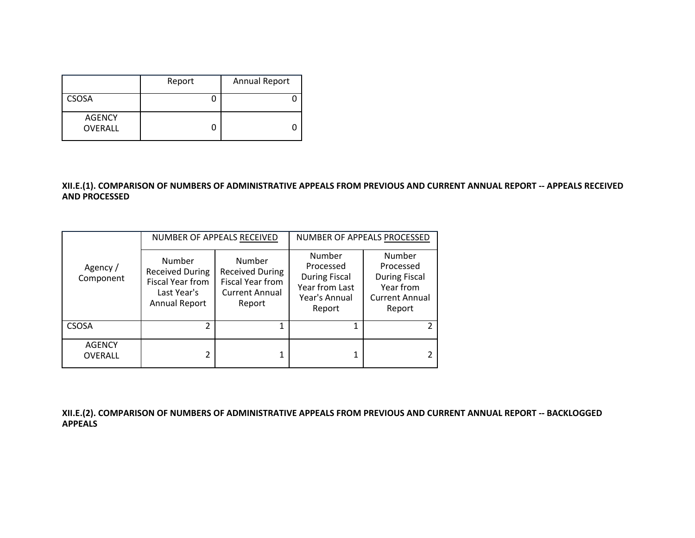|                          | Report | <b>Annual Report</b> |
|--------------------------|--------|----------------------|
| <b>CSOSA</b>             |        |                      |
| <b>AGENCY</b><br>OVERALL |        |                      |

## XII.E.(1). COMPARISON OF NUMBERS OF ADMINISTRATIVE APPEALS FROM PREVIOUS AND CURRENT ANNUAL REPORT -- APPEALS RECEIVED **AND PROCESSED**

|                                 |                                                                                             | NUMBER OF APPEALS RECEIVED                                                              | NUMBER OF APPEALS PROCESSED                                                              |                                                                                             |  |
|---------------------------------|---------------------------------------------------------------------------------------------|-----------------------------------------------------------------------------------------|------------------------------------------------------------------------------------------|---------------------------------------------------------------------------------------------|--|
| Agency /<br>Component           | Number<br><b>Received During</b><br>Fiscal Year from<br>Last Year's<br><b>Annual Report</b> | Number<br><b>Received During</b><br>Fiscal Year from<br><b>Current Annual</b><br>Report | Number<br>Processed<br><b>During Fiscal</b><br>Year from Last<br>Year's Annual<br>Report | Number<br>Processed<br><b>During Fiscal</b><br>Year from<br><b>Current Annual</b><br>Report |  |
| <b>CSOSA</b>                    |                                                                                             |                                                                                         |                                                                                          | $\mathcal{P}$                                                                               |  |
| <b>AGENCY</b><br><b>OVERALL</b> |                                                                                             | 1                                                                                       |                                                                                          | 2                                                                                           |  |

**XII.E.(2). COMPARISON OF NUMBERS OF ADMINISTRATIVE APPEALS FROM PREVIOUS AND CURRENT ANNUAL REPORT ‐‐ BACKLOGGED APPEALS**